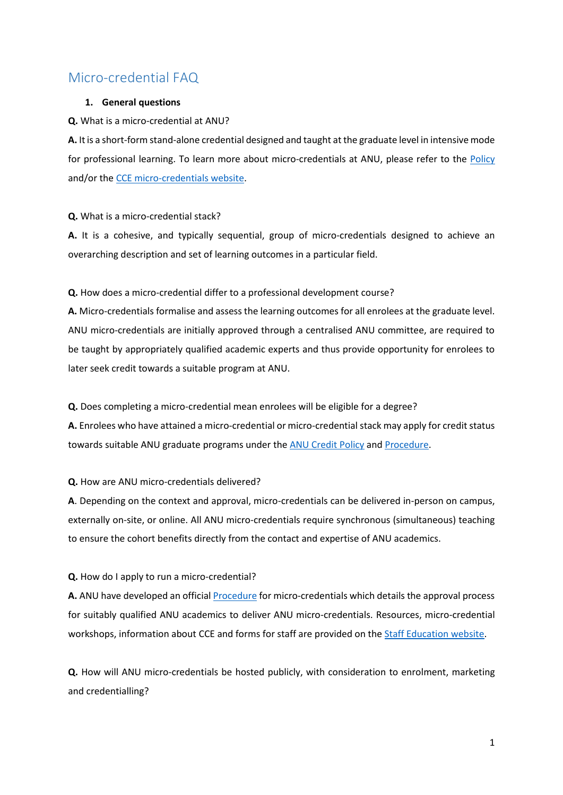# Micro-credential FAQ

# **1. General questions**

**Q.** What is a micro-credential at ANU?

**A.** It is a short-form stand-alone credential designed and taught at the graduate level in intensive mode for professional learning. To learn more about micro-credentials at ANU, please refer to the [Policy](https://policies.anu.edu.au/ppl/document/ANUP_5972717) and/or the [CCE micro-credentials website.](https://cce.anu.edu.au/microcredentials.aspx)

## **Q.** What is a micro-credential stack?

**A.** It is a cohesive, and typically sequential, group of micro-credentials designed to achieve an overarching description and set of learning outcomes in a particular field.

# **Q.** How does a micro-credential differ to a professional development course?

**A.** Micro-credentials formalise and assess the learning outcomes for all enrolees at the graduate level. ANU micro-credentials are initially approved through a centralised ANU committee, are required to be taught by appropriately qualified academic experts and thus provide opportunity for enrolees to later seek credit towards a suitable program at ANU.

### **Q.** Does completing a micro-credential mean enrolees will be eligible for a degree?

**A.** Enrolees who have attained a micro-credential or micro-credential stack may apply for credit status towards suitable ANU graduate programs under th[e ANU Credit Policy](https://policies.anu.edu.au/ppl/document/ANUP_000399) and [Procedure.](https://policies.anu.edu.au/ppl/document/ANUP_002612)

# **Q.** How are ANU micro-credentials delivered?

**A**. Depending on the context and approval, micro-credentials can be delivered in-person on campus, externally on-site, or online. All ANU micro-credentials require synchronous (simultaneous) teaching to ensure the cohort benefits directly from the contact and expertise of ANU academics.

#### **Q.** How do I apply to run a micro-credential?

**A.** ANU have developed an officia[l Procedure](https://policies.anu.edu.au/ppl/document/ANUP_5972718) for micro-credentials which details the approval process for suitably qualified ANU academics to deliver ANU micro-credentials. Resources, micro-credential workshops, information about CCE and forms for staff are provided on th[e Staff Education website.](https://staffeducation.weblogs.anu.edu.au/resources/micro-credentials/)

**Q.** How will ANU micro-credentials be hosted publicly, with consideration to enrolment, marketing and credentialling?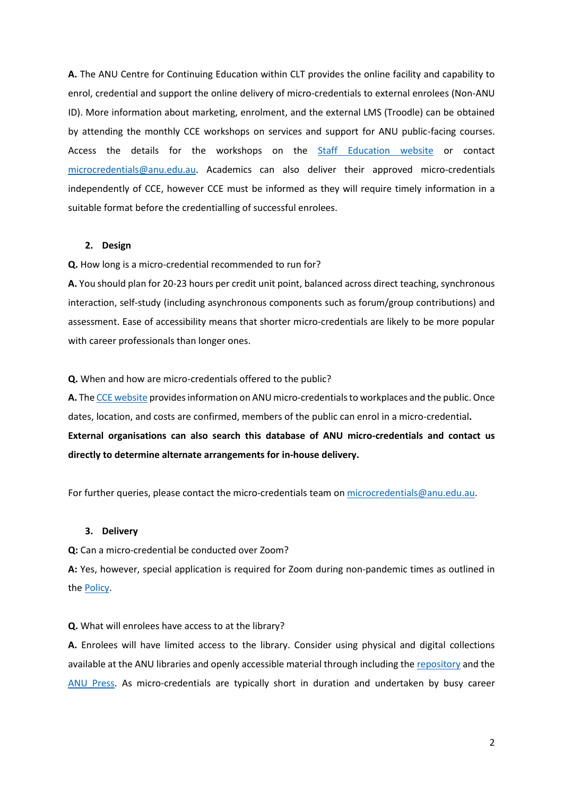**A.** The ANU Centre for Continuing Education within CLT provides the online facility and capability to enrol, credential and support the online delivery of micro-credentials to external enrolees (Non-ANU ID). More information about marketing, enrolment, and the external LMS (Troodle) can be obtained by attending the monthly CCE workshops on services and support for ANU public-facing courses. Access the details for the workshops on the [Staff Education website](https://staffeducation.weblogs.anu.edu.au/resources/micro-credentials/) or contact [microcredentials@anu.edu.au.](mailto:microcredentials@anu.edu.au) Academics can also deliver their approved micro-credentials independently of CCE, however CCE must be informed as they will require timely information in a suitable format before the credentialling of successful enrolees.

#### **2. Design**

**Q.** How long is a micro-credential recommended to run for?

**A.** You should plan for 20-23 hours per credit unit point, balanced across direct teaching, synchronous interaction, self-study (including asynchronous components such as forum/group contributions) and assessment. Ease of accessibility means that shorter micro-credentials are likely to be more popular with career professionals than longer ones.

**Q.** When and how are micro-credentials offered to the public?

A. Th[e CCE website](https://cce.anu.edu.au/microcredentials.aspx) provides information on ANU micro-credentials to workplaces and the public. Once dates, location, and costs are confirmed, members of the public can enrol in a micro-credential**. External organisations can also search this database of ANU micro-credentials and contact us directly to determine alternate arrangements for in-house delivery.**

For further queries, please contact the micro-credentials team on [microcredentials@anu.edu.au.](mailto:microcredentials@anu.edu.au)

#### **3. Delivery**

**Q:** Can a micro-credential be conducted over Zoom?

**A:** Yes, however, special application is required for Zoom during non-pandemic times as outlined in th[e Policy.](https://policies.anu.edu.au/ppl/document/ANUP_5972717)

#### **Q.** What will enrolees have access to at the library?

**A.** Enrolees will have limited access to the library. Consider using physical and digital collections available at the ANU libraries and openly accessible material through including the [repository](https://openresearch-repository.anu.edu.au/) and the [ANU Press.](https://press.anu.edu.au/) As micro-credentials are typically short in duration and undertaken by busy career